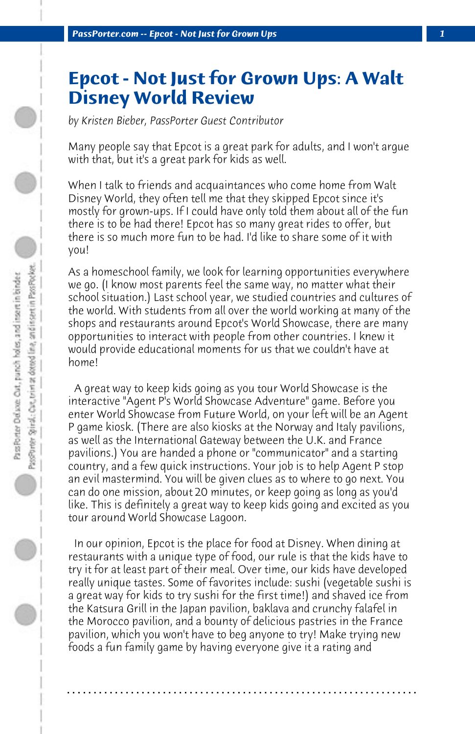## **Epcot - Not Just for Grown Ups: A Walt Disney World Review**

*by Kristen Bieber, PassPorter Guest Contributor*

Many people say that Epcot is a great park for adults, and I won't argue with that, but it's a great park for kids as well.

When I talk to friends and acquaintances who come home from Walt Disney World, they often tell me that they skipped Epcot since it's mostly for grown-ups. If I could have only told them about all of the fun there is to be had there! Epcot has so many great rides to offer, but there is so much more fun to be had. I'd like to share some of it with you!

As a homeschool family, we look for learning opportunities everywhere we go. (I know most parents feel the same way, no matter what their school situation.) Last school year, we studied countries and cultures of the world. With students from all over the world working at many of the shops and restaurants around Epcot's World Showcase, there are many opportunities to interact with people from other countries. I knew it would provide educational moments for us that we couldn't have at home!

 A great way to keep kids going as you tour World Showcase is the interactive "Agent P's World Showcase Adventure" game. Before you enter World Showcase from Future World, on your left will be an Agent P game kiosk. (There are also kiosks at the Norway and Italy pavilions, as well as the International Gateway between the U.K. and France pavilions.) You are handed a phone or "communicator" and a starting country, and a few quick instructions. Your job is to help Agent P stop an evil mastermind. You will be given clues as to where to go next. You can do one mission, about 20 minutes, or keep going as long as you'd like. This is definitely a great way to keep kids going and excited as you tour around World Showcase Lagoon.

 In our opinion, Epcot is the place for food at Disney. When dining at restaurants with a unique type of food, our rule is that the kids have to try it for at least part of their meal. Over time, our kids have developed really unique tastes. Some of favorites include: sushi (vegetable sushi is a great way for kids to try sushi for the first time!) and shaved ice from the Katsura Grill in the Japan pavilion, baklava and crunchy falafel in the Morocco pavilion, and a bounty of delicious pastries in the France pavilion, which you won't have to beg anyone to try! Make trying new foods a fun family game by having everyone give it a rating and

**. . . . . . . . . . . . . . . . . . . . . . . . . . . . . . . . . . . . . . . . . . . . . . . . . . . . . . . . . . . . . . . . . .**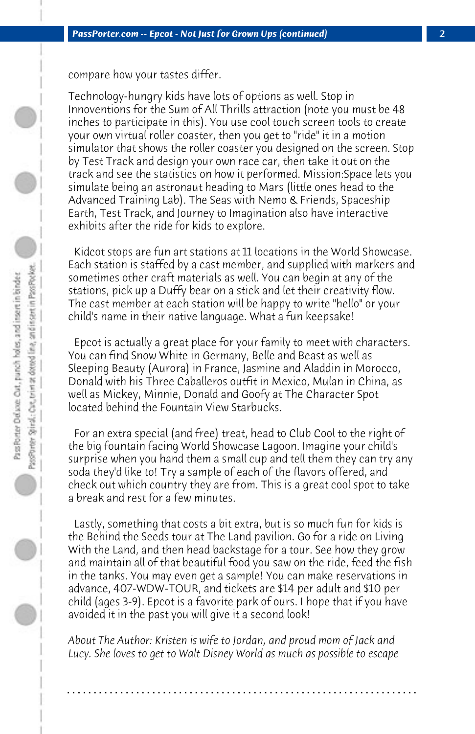compare how your tastes differ.

Technology-hungry kids have lots of options as well. Stop in Innoventions for the Sum of All Thrills attraction (note you must be 48 inches to participate in this). You use cool touch screen tools to create your own virtual roller coaster, then you get to "ride" it in a motion simulator that shows the roller coaster you designed on the screen. Stop by Test Track and design your own race car, then take it out on the track and see the statistics on how it performed. Mission:Space lets you simulate being an astronaut heading to Mars (little ones head to the Advanced Training Lab). The Seas with Nemo & Friends, Spaceship Earth, Test Track, and Journey to Imagination also have interactive exhibits after the ride for kids to explore.

 Kidcot stops are fun art stations at 11 locations in the World Showcase. Each station is staffed by a cast member, and supplied with markers and sometimes other craft materials as well. You can begin at any of the stations, pick up a Duffy bear on a stick and let their creativity flow. The cast member at each station will be happy to write "hello" or your child's name in their native language. What a fun keepsake!

 Epcot is actually a great place for your family to meet with characters. You can find Snow White in Germany, Belle and Beast as well as Sleeping Beauty (Aurora) in France, Jasmine and Aladdin in Morocco, Donald with his Three Caballeros outfit in Mexico, Mulan in China, as well as Mickey, Minnie, Donald and Goofy at The Character Spot located behind the Fountain View Starbucks.

 For an extra special (and free) treat, head to Club Cool to the right of the big fountain facing World Showcase Lagoon. Imagine your child's surprise when you hand them a small cup and tell them they can try any soda they'd like to! Try a sample of each of the flavors offered, and check out which country they are from. This is a great cool spot to take a break and rest for a few minutes.

 Lastly, something that costs a bit extra, but is so much fun for kids is the Behind the Seeds tour at The Land pavilion. Go for a ride on Living With the Land, and then head backstage for a tour. See how they grow and maintain all of that beautiful food you saw on the ride, feed the fish in the tanks. You may even get a sample! You can make reservations in advance, 407-WDW-TOUR, and tickets are \$14 per adult and \$10 per child (ages 3-9). Epcot is a favorite park of ours. I hope that if you have avoided it in the past you will give it a second look!

*About The Author: Kristen is wife to Jordan, and proud mom of Jack and Lucy. She loves to get to Walt Disney World as much as possible to escape*

**. . . . . . . . . . . . . . . . . . . . . . . . . . . . . . . . . . . . . . . . . . . . . . . . . . . . . . . . . . . . . . . . . .**